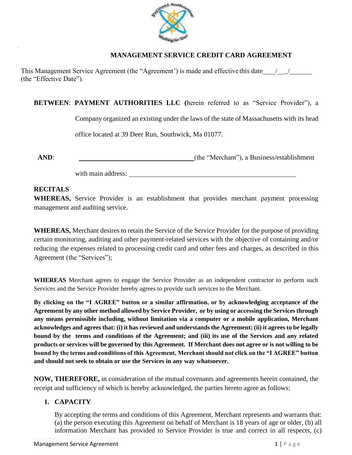

# **MANAGEMENT SERVICE CREDIT CARD AGREEMENT**

This Management Service Agreement (the "Agreement") is made and effective this date  $\frac{1}{\sqrt{2}}$ (the "Effective Date").

**BETWEEN**: **PAYMENT AUTHORITIES LLC (**herein referred to as "Service Provider"), a

Company organized an existing under the laws of the state of Massachusetts with its head

office located at 39 Deer Run, Southwick, Ma 01077.

..

**AND**:  $\qquad \qquad$  (the "Merchant"), a Business/establishment

with main address:

# **RECITALS**

**WHEREAS,** Service Provider is an establishment that provides merchant payment processing management and auditing service.

**WHEREAS,** Merchant desires to retain the Service of the Service Provider for the purpose of providing certain monitoring, auditing and other payment-related services with the objective of containing and/or reducing the expenses related to processing credit card and other fees and charges, as described in this Agreement (the "Services");

**WHEREAS** Merchant agrees to engage the Service Provider as an independent contractor to perform such Services and the Service Provider hereby agrees to provide such services to the Merchant.

**By clicking on the "I AGREE" button or a similar affirmation, or by acknowledging acceptance of the Agreement by any other method allowed by Service Provider, or by using or accessing the Services through any means permissible including, without limitation via a computer or a mobile application, Merchant acknowledges and agrees that: (i) it has reviewed and understands the Agreement; (ii) it agrees to be legally bound by the terms and conditions of the Agreement; and (iii) its use of the Services and any related products or services will be governed by this Agreement. If Merchant does not agree or is not willing to be bound by the terms and conditions of this Agreement, Merchant should not click on the "I AGREE" button and should not seek to obtain or use the Services in any way whatsoever.**

**NOW, THEREFORE,** in consideration of the mutual covenants and agreements herein contained, the receipt and sufficiency of which is hereby acknowledged, the parties hereto agree as follows:

# **1. CAPACITY**

By accepting the terms and conditions of this Agreement, Merchant represents and warrants that: (a) the person executing this Agreement on behalf of Merchant is 18 years of age or older, (b) all information Merchant has provided to Service Provider is true and correct in all respects, (c)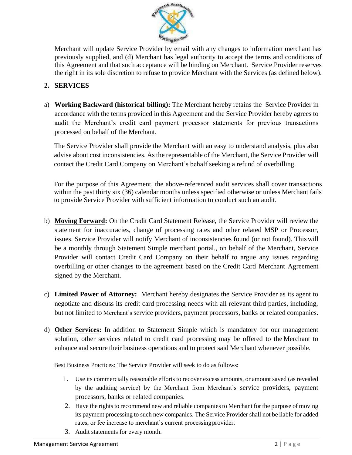

Merchant will update Service Provider by email with any changes to information merchant has previously supplied, and (d) Merchant has legal authority to accept the terms and conditions of this Agreement and that such acceptance will be binding on Merchant. Service Provider reserves the right in its sole discretion to refuse to provide Merchant with the Services (as defined below).

# **2. SERVICES**

a) **Working Backward (historical billing):** The Merchant hereby retains the Service Provider in accordance with the terms provided in this Agreement and the Service Provider hereby agrees to audit the Merchant's credit card payment processor statements for previous transactions processed on behalf of the Merchant.

The Service Provider shall provide the Merchant with an easy to understand analysis, plus also advise about cost inconsistencies. As the representable of the Merchant, the Service Provider will contact the Credit Card Company on Merchant's behalf seeking a refund of overbilling.

For the purpose of this Agreement, the above-referenced audit services shall cover transactions within the past thirty six (36) calendar months unless specified otherwise or unless Merchant fails to provide Service Provider with sufficient information to conduct such an audit.

- b) **Moving Forward:** On the Credit Card Statement Release, the Service Provider will review the statement for inaccuracies, change of processing rates and other related MSP or Processor, issues. Service Provider will notify Merchant of inconsistencies found (or not found). This will be a monthly through Statement Simple merchant portal., on behalf of the Merchant, Service Provider will contact Credit Card Company on their behalf to argue any issues regarding overbilling or other changes to the agreement based on the Credit Card Merchant Agreement signed by the Merchant.
- c) **Limited Power of Attorney:** Merchant hereby designates the Service Provider as its agent to negotiate and discuss its credit card processing needs with all relevant third parties, including, but not limited to Merchant's service providers, payment processors, banks or related companies.
- d) **Other Services:** In addition to Statement Simple which is mandatory for our management solution, other services related to credit card processing may be offered to the Merchant to enhance and secure their business operations and to protect said Merchant whenever possible.

Best Business Practices: The Service Provider will seek to do as follows:

- 1. Use its commercially reasonable efforts to recover excess amounts, or amount saved (as revealed by the auditing service) by the Merchant from Merchant's service providers, payment processors, banks or related companies.
- 2. Have the rights to recommend new and reliable companies to Merchant for the purpose of moving its payment processing to such new companies. The Service Provider shall not be liable for added rates, or fee increase to merchant's current processingprovider.
- 3. Audit statements for every month.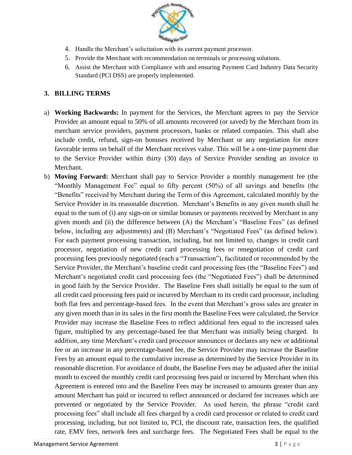

- 4. Handle the Merchant's solicitation with its current payment processor.
- 5. Provide the Merchant with recommendation on terminals or processing solutions.
- 6. Assist the Merchant with Compliance with and ensuring Payment Card Industry Data Security Standard (PCI DSS) are properly implemented.

# **3. BILLING TERMS**

- a) **Working Backwards:** In payment for the Services, the Merchant agrees to pay the Service Provider an amount equal to 50% of all amounts recovered (or saved) by the Merchant from its merchant service providers, payment processors, banks or related companies. This shall also include credit, refund, sign-on bonuses received by Merchant or any negotiation for more favorable terms on behalf of the Merchant receives value. This will be a one-time payment due to the Service Provider within thirty (30) days of Service Provider sending an invoice to Merchant.
- b) **Moving Forward:** Merchant shall pay to Service Provider a monthly management fee (the "Monthly Management Fee" equal to fifty percent (50%) of all savings and benefits (the "Benefits" received by Merchant during the Term of this Agreement, calculated monthly by the Service Provider in its reasonable discretion. Merchant's Benefits in any given month shall be equal to the sum of (i) any sign-on or similar bonuses or payments received by Merchant in any given month and (ii) the difference between (A) the Merchant's "Baseline Fees" (as defined below, including any adjustments) and (B) Merchant's "Negotiated Fees" (as defined below). For each payment processing transaction, including, but not limited to, changes in credit card processor, negotiation of new credit card processing fees or renegotiation of credit card processing fees previously negotiated (each a "Transaction"), facilitated or recommended by the Service Provider, the Merchant's baseline credit card processing fees (the "Baseline Fees") and Merchant's negotiated credit card processing fees (the "Negotiated Fees") shall be determined in good faith by the Service Provider. The Baseline Fees shall initially be equal to the sum of all credit card processing fees paid or incurred by Merchant to its credit card processor, including both flat fees and percentage-based fees. In the event that Merchant's gross sales are greater in any given month than in its sales in the first month the Baseline Fees were calculated, the Service Provider may increase the Baseline Fees to reflect additional fees equal to the increased sales figure, multiplied by any percentage-based fee that Merchant was initially being charged. In addition, any time Merchant's credit card processor announces or declares any new or additional fee or an increase in any percentage-based fee, the Service Provider may increase the Baseline Fees by an amount equal to the cumulative increase as determined by the Service Provider in its reasonable discretion. For avoidance of doubt, the Baseline Fees may be adjusted after the initial month to exceed the monthly credit card processing fees paid or incurred by Merchant when this Agreement is entered into and the Baseline Fees may be increased to amounts greater than any amount Merchant has paid or incurred to reflect announced or declared fee increases which are prevented or negotiated by the Service Provider. As used herein, the phrase "credit card processing fees" shall include all fees charged by a credit card processor or related to credit card processing, including, but not limited to, PCI, the discount rate, transaction fees, the qualified rate, EMV fees, network fees and surcharge fees. The Negotiated Fees shall be equal to the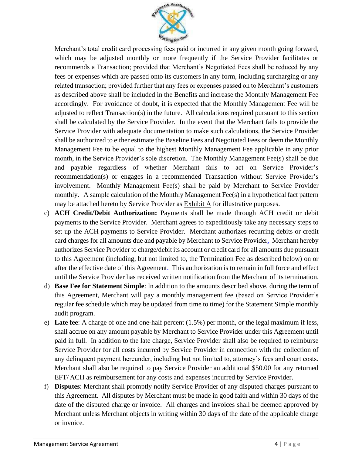

Merchant's total credit card processing fees paid or incurred in any given month going forward, which may be adjusted monthly or more frequently if the Service Provider facilitates or recommends a Transaction; provided that Merchant's Negotiated Fees shall be reduced by any fees or expenses which are passed onto its customers in any form, including surcharging or any related transaction; provided further that any fees or expenses passed on to Merchant's customers as described above shall be included in the Benefits and increase the Monthly Management Fee accordingly. For avoidance of doubt, it is expected that the Monthly Management Fee will be adjusted to reflect Transaction(s) in the future. All calculations required pursuant to this section shall be calculated by the Service Provider. In the event that the Merchant fails to provide the Service Provider with adequate documentation to make such calculations, the Service Provider shall be authorized to either estimate the Baseline Fees and Negotiated Fees or deem the Monthly Management Fee to be equal to the highest Monthly Management Fee applicable in any prior month, in the Service Provider's sole discretion. The Monthly Management Fee(s) shall be due and payable regardless of whether Merchant fails to act on Service Provider's recommendation(s) or engages in a recommended Transaction without Service Provider's involvement. Monthly Management Fee $(s)$  shall be paid by Merchant to Service Provider monthly. A sample calculation of the Monthly Management Fee(s) in a hypothetical fact pattern may be attached hereto by Service Provider as Exhibit A for illustrative purposes.

- c) **ACH Credit/Debit Authorization:** Payments shall be made through ACH credit or debit payments to the Service Provider. Merchant agrees to expeditiously take any necessary steps to set up the ACH payments to Service Provider. Merchant authorizes recurring debits or credit card charges for all amounts due and payable by Merchant to Service Provide[r.](http://www.todaypayments.com/) Merchant hereby authorizes Service Provider to charge/debit its account or credit card for all amounts due pursuant to this Agreement (including, but not limited to, the Termination Fee as described below) on or after the effective date of this Agreemen[t.](http://www.samedayach.com/) This authorization is to remain in full force and effect until the Service Provider has received written notification from the Merchant of its termination.
- d) **Base Fee for Statement Simple**: In addition to the amounts described above, during the term of this Agreement, Merchant will pay a monthly management fee (based on Service Provider's regular fee schedule which may be updated from time to time) for the Statement Simple monthly audit program.
- e) **Late fee**: A charge of one and one-half percent (1.5%) per month, or the legal maximum if less, shall accrue on any amount payable by Merchant to Service Provider under this Agreement until paid in full. In addition to the late charge, Service Provider shall also be required to reimburse Service Provider for all costs incurred by Service Provider in connection with the collection of any delinquent payment hereunder, including but not limited to, attorney's fees and court costs. Merchant shall also be required to pay Service Provider an additional \$50.00 for any returned EFT/ ACH as reimbursement for any costs and expenses incurred by Service Provider.
- f) **Disputes**: Merchant shall promptly notify Service Provider of any disputed charges pursuant to this Agreement. All disputes by Merchant must be made in good faith and within 30 days of the date of the disputed charge or invoice. All charges and invoices shall be deemed approved by Merchant unless Merchant objects in writing within 30 days of the date of the applicable charge or invoice.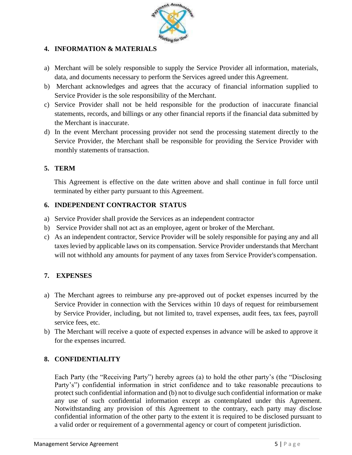

# **4. INFORMATION & MATERIALS**

- a) Merchant will be solely responsible to supply the Service Provider all information, materials, data, and documents necessary to perform the Services agreed under this Agreement.
- b) Merchant acknowledges and agrees that the accuracy of financial information supplied to Service Provider is the sole responsibility of the Merchant.
- c) Service Provider shall not be held responsible for the production of inaccurate financial statements, records, and billings or any other financial reports if the financial data submitted by the Merchant is inaccurate.
- d) In the event Merchant processing provider not send the processing statement directly to the Service Provider, the Merchant shall be responsible for providing the Service Provider with monthly statements of transaction.

# **5. TERM**

This Agreement is effective on the date written above and shall continue in full force until terminated by either party pursuant to this Agreement.

# **6. INDEPENDENT CONTRACTOR STATUS**

- a) Service Provider shall provide the Services as an independent contractor
- b) Service Provider shall not act as an employee, agent or broker of the Merchant.
- c) As an independent contractor, Service Provider will be solely responsible for paying any and all taxes levied by applicable laws on its compensation. Service Provider understands that Merchant will not withhold any amounts for payment of any taxes from Service Provider's compensation.

# **7. EXPENSES**

- a) The Merchant agrees to reimburse any pre-approved out of pocket expenses incurred by the Service Provider in connection with the Services within 10 days of request for reimbursement by Service Provider, including, but not limited to, travel expenses, audit fees, tax fees, payroll service fees, etc.
- b) The Merchant will receive a quote of expected expenses in advance will be asked to approve it for the expenses incurred.

# **8. CONFIDENTIALITY**

Each Party (the "Receiving Party") hereby agrees (a) to hold the other party's (the "Disclosing Party's") confidential information in strict confidence and to take reasonable precautions to protect such confidential information and (b) not to divulge such confidential information or make any use of such confidential information except as contemplated under this Agreement. Notwithstanding any provision of this Agreement to the contrary, each party may disclose confidential information of the other party to the extent it is required to be disclosed pursuant to a valid order or requirement of a governmental agency or court of competent jurisdiction.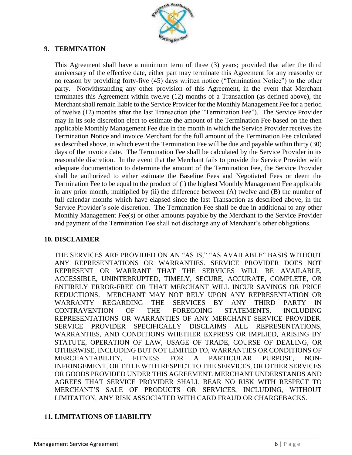

# **9. TERMINATION**

This Agreement shall have a minimum term of three (3) years; provided that after the third anniversary of the effective date, either part may terminate this Agreement for any reasonby or no reason by providing forty-five (45) days written notice ("Termination Notice") to the other party. Notwithstanding any other provision of this Agreement, in the event that Merchant terminates this Agreement within twelve (12) months of a Transaction (as defined above), the Merchant shall remain liable to the Service Provider for the Monthly Management Fee for a period of twelve (12) months after the last Transaction (the "Termination Fee"). The Service Provider may in its sole discretion elect to estimate the amount of the Termination Fee based on the then applicable Monthly Management Fee due in the month in which the Service Provider receives the Termination Notice and invoice Merchant for the full amount of the Termination Fee calculated as described above, in which event the Termination Fee will be due and payable within thirty (30) days of the invoice date. The Termination Fee shall be calculated by the Service Provider in its reasonable discretion. In the event that the Merchant fails to provide the Service Provider with adequate documentation to determine the amount of the Termination Fee, the Service Provider shall be authorized to either estimate the Baseline Fees and Negotiated Fees or deem the Termination Fee to be equal to the product of (i) the highest Monthly Management Fee applicable in any prior month; multiplied by (ii) the difference between (A) twelve and (B) the number of full calendar months which have elapsed since the last Transaction as described above, in the Service Provider's sole discretion.The Termination Fee shall be due in additional to any other Monthly Management Fee(s) or other amounts payable by the Merchant to the Service Provider and payment of the Termination Fee shall not discharge any of Merchant's other obligations.

#### **10. DISCLAIMER**

THE SERVICES ARE PROVIDED ON AN "AS IS," "AS AVAILABLE" BASIS WITHOUT ANY REPRESENTATIONS OR WARRANTIES. SERVICE PROVIDER DOES NOT REPRESENT OR WARRANT THAT THE SERVICES WILL BE AVAILABLE, ACCESSIBLE, UNINTERRUPTED, TIMELY, SECURE, ACCURATE, COMPLETE, OR ENTIRELY ERROR-FREE OR THAT MERCHANT WILL INCUR SAVINGS OR PRICE REDUCTIONS. MERCHANT MAY NOT RELY UPON ANY REPRESENTATION OR WARRANTY REGARDING THE SERVICES BY ANY THIRD PARTY IN CONTRAVENTION OF THE FOREGOING STATEMENTS, INCLUDING REPRESENTATIONS OR WARRANTIES OF ANY MERCHANT SERVICE PROVIDER. SERVICE PROVIDER SPECIFICALLY DISCLAIMS ALL REPRESENTATIONS, WARRANTIES, AND CONDITIONS WHETHER EXPRESS OR IMPLIED, ARISING BY STATUTE, OPERATION OF LAW, USAGE OF TRADE, COURSE OF DEALING, OR OTHERWISE, INCLUDING BUT NOT LIMITED TO, WARRANTIES OR CONDITIONS OF MERCHANTABILITY, FITNESS FOR A PARTICULAR PURPOSE, NON-INFRINGEMENT, OR TITLE WITH RESPECT TO THE SERVICES, OR OTHER SERVICES OR GOODS PROVIDED UNDER THIS AGREEMENT. MERCHANT UNDERSTANDS AND AGREES THAT SERVICE PROVIDER SHALL BEAR NO RISK WITH RESPECT TO MERCHANT'S SALE OF PRODUCTS OR SERVICES, INCLUDING, WITHOUT LIMITATION, ANY RISK ASSOCIATED WITH CARD FRAUD OR CHARGEBACKS.

# **11. LIMITATIONS OF LIABILITY**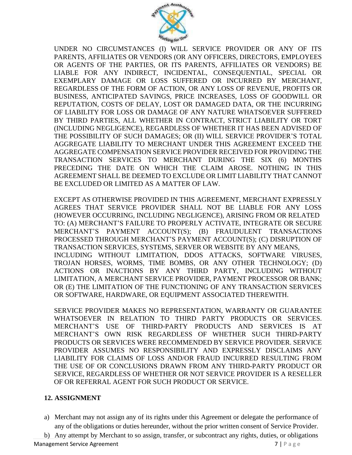

UNDER NO CIRCUMSTANCES (I) WILL SERVICE PROVIDER OR ANY OF ITS PARENTS, AFFILIATES OR VENDORS (OR ANY OFFICERS, DIRECTORS, EMPLOYEES OR AGENTS OF THE PARTIES, OR ITS PARENTS, AFFILIATES OR VENDORS) BE LIABLE FOR ANY INDIRECT, INCIDENTAL, CONSEQUENTIAL, SPECIAL OR EXEMPLARY DAMAGE OR LOSS SUFFERED OR INCURRED BY MERCHANT, REGARDLESS OF THE FORM OF ACTION, OR ANY LOSS OF REVENUE, PROFITS OR BUSINESS, ANTICIPATED SAVINGS, PRICE INCREASES, LOSS OF GOODWILL OR REPUTATION, COSTS OF DELAY, LOST OR DAMAGED DATA, OR THE INCURRING OF LIABILITY FOR LOSS OR DAMAGE OF ANY NATURE WHATSOEVER SUFFERED BY THIRD PARTIES, ALL WHETHER IN CONTRACT, STRICT LIABILITY OR TORT (INCLUDING NEGLIGENCE), REGARDLESS OF WHETHER IT HAS BEEN ADVISED OF THE POSSIBILITY OF SUCH DAMAGES; OR (II) WILL SERVICE PROVIDER'S TOTAL AGGREGATE LIABILITY TO MERCHANT UNDER THIS AGREEMENT EXCEED THE AGGREGATE COMPENSATION SERVICE PROVIDER RECEIVED FOR PROVIDING THE TRANSACTION SERVICES TO MERCHANT DURING THE SIX (6) MONTHS PRECEDING THE DATE ON WHICH THE CLAIM AROSE. NOTHING IN THIS AGREEMENT SHALL BE DEEMED TO EXCLUDE OR LIMIT LIABILITY THAT CANNOT BE EXCLUDED OR LIMITED AS A MATTER OF LAW.

EXCEPT AS OTHERWISE PROVIDED IN THIS AGREEMENT, MERCHANT EXPRESSLY AGREES THAT SERVICE PROVIDER SHALL NOT BE LIABLE FOR ANY LOSS (HOWEVER OCCURRING, INCLUDING NEGLIGENCE), ARISING FROM OR RELATED TO: (A) MERCHANT'S FAILURE TO PROPERLY ACTIVATE, INTEGRATE OR SECURE MERCHANT'S PAYMENT ACCOUNT(S); (B) FRAUDULENT TRANSACTIONS PROCESSED THROUGH MERCHANT'S PAYMENT ACCOUNT(S); (C) DISRUPTION OF TRANSACTION SERVICES, SYSTEMS, SERVER OR WEBSITE BY ANY MEANS, INCLUDING WITHOUT LIMITATION, DDOS ATTACKS, SOFTWARE VIRUSES, TROJAN HORSES, WORMS, TIME BOMBS, OR ANY OTHER TECHNOLOGY; (D) ACTIONS OR INACTIONS BY ANY THIRD PARTY, INCLUDING WITHOUT LIMITATION, A MERCHANT SERVICE PROVIDER, PAYMENT PROCESSOR OR BANK; OR (E) THE LIMITATION OF THE FUNCTIONING OF ANY TRANSACTION SERVICES OR SOFTWARE, HARDWARE, OR EQUIPMENT ASSOCIATED THEREWITH.

SERVICE PROVIDER MAKES NO REPRESENTATION, WARRANTY OR GUARANTEE WHATSOEVER IN RELATION TO THIRD PARTY PRODUCTS OR SERVICES. MERCHANT'S USE OF THIRD-PARTY PRODUCTS AND SERVICES IS AT MERCHANT'S OWN RISK REGARDLESS OF WHETHER SUCH THIRD-PARTY PRODUCTS OR SERVICES WERE RECOMMENDED BY SERVICE PROVIDER. SERVICE PROVIDER ASSUMES NO RESPONSIBILITY AND EXPRESSLY DISCLAIMS ANY LIABILITY FOR CLAIMS OF LOSS AND/OR FRAUD INCURRED RESULTING FROM THE USE OF OR CONCLUSIONS DRAWN FROM ANY THIRD-PARTY PRODUCT OR SERVICE, REGARDLESS OF WHETHER OR NOT SERVICE PROVIDER IS A RESELLER OF OR REFERRAL AGENT FOR SUCH PRODUCT OR SERVICE.

# **12. ASSIGNMENT**

- a) Merchant may not assign any of its rights under this Agreement or delegate the performance of any of the obligations or duties hereunder, without the prior written consent of Service Provider.
- b) Any attempt by Merchant to so assign, transfer, or subcontract any rights, duties, or obligations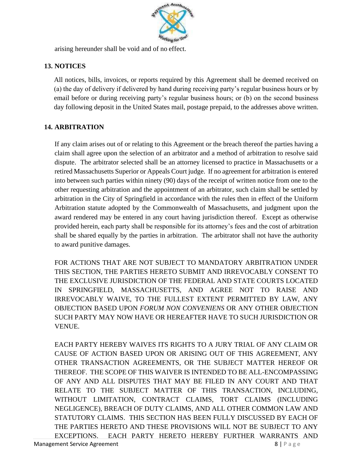

arising hereunder shall be void and of no effect.

# **13. NOTICES**

All notices, bills, invoices, or reports required by this Agreement shall be deemed received on (a) the day of delivery if delivered by hand during receiving party's regular business hours or by email before or during receiving party's regular business hours; or (b) on the second business day following deposit in the United States mail, postage prepaid, to the addresses above written.

# **14. ARBITRATION**

If any claim arises out of or relating to this Agreement or the breach thereof the parties having a claim shall agree upon the selection of an arbitrator and a method of arbitration to resolve said dispute. The arbitrator selected shall be an attorney licensed to practice in Massachusetts or a retired Massachusetts Superior or Appeals Court judge. If no agreement for arbitration is entered into between such parties within ninety (90) days of the receipt of written notice from one to the other requesting arbitration and the appointment of an arbitrator, such claim shall be settled by arbitration in the City of Springfield in accordance with the rules then in effect of the Uniform Arbitration statute adopted by the Commonwealth of Massachusetts, and judgment upon the award rendered may be entered in any court having jurisdiction thereof. Except as otherwise provided herein, each party shall be responsible for its attorney's fees and the cost of arbitration shall be shared equally by the parties in arbitration. The arbitrator shall not have the authority to award punitive damages.

FOR ACTIONS THAT ARE NOT SUBJECT TO MANDATORY ARBITRATION UNDER THIS SECTION, THE PARTIES HERETO SUBMIT AND IRREVOCABLY CONSENT TO THE EXCLUSIVE JURISDICTION OF THE FEDERAL AND STATE COURTS LOCATED IN SPRINGFIELD, MASSACHUSETTS, AND AGREE NOT TO RAISE AND IRREVOCABLY WAIVE, TO THE FULLEST EXTENT PERMITTED BY LAW, ANY OBJECTION BASED UPON *FORUM NON CONVENIENS* OR ANY OTHER OBJECTION SUCH PARTY MAY NOW HAVE OR HEREAFTER HAVE TO SUCH JURISDICTION OR VENUE.

Management Service Agreement **8 and 2 and 2 and 3 and 3 and 3 and 3 and 3 and 3 and 3 and 3 and 3 and 3 and 3 and 3 and 3 and 4 and 4 and 4 and 4 and 4 and 4 and 4 and 4 and 4 and 4 and 4 and 4 and 4 and 4 and 4 and 4 and** EACH PARTY HEREBY WAIVES ITS RIGHTS TO A JURY TRIAL OF ANY CLAIM OR CAUSE OF ACTION BASED UPON OR ARISING OUT OF THIS AGREEMENT, ANY OTHER TRANSACTION AGREEMENTS, OR THE SUBJECT MATTER HEREOF OR THEREOF. THE SCOPE OF THIS WAIVER IS INTENDED TO BE ALL-ENCOMPASSING OF ANY AND ALL DISPUTES THAT MAY BE FILED IN ANY COURT AND THAT RELATE TO THE SUBJECT MATTER OF THIS TRANSACTION, INCLUDING, WITHOUT LIMITATION, CONTRACT CLAIMS, TORT CLAIMS (INCLUDING NEGLIGENCE), BREACH OF DUTY CLAIMS, AND ALL OTHER COMMON LAW AND STATUTORY CLAIMS. THIS SECTION HAS BEEN FULLY DISCUSSED BY EACH OF THE PARTIES HERETO AND THESE PROVISIONS WILL NOT BE SUBJECT TO ANY EXCEPTIONS. EACH PARTY HERETO HEREBY FURTHER WARRANTS AND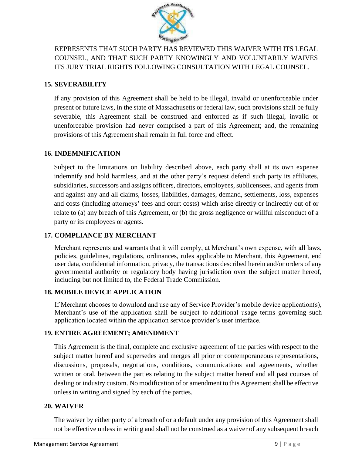

REPRESENTS THAT SUCH PARTY HAS REVIEWED THIS WAIVER WITH ITS LEGAL COUNSEL, AND THAT SUCH PARTY KNOWINGLY AND VOLUNTARILY WAIVES ITS JURY TRIAL RIGHTS FOLLOWING CONSULTATION WITH LEGAL COUNSEL.

# **15. SEVERABILITY**

If any provision of this Agreement shall be held to be illegal, invalid or unenforceable under present or future laws, in the state of Massachusetts or federal law, such provisions shall be fully severable, this Agreement shall be construed and enforced as if such illegal, invalid or unenforceable provision had never comprised a part of this Agreement; and, the remaining provisions of this Agreement shall remain in full force and effect.

#### **16. INDEMNIFICATION**

Subject to the limitations on liability described above, each party shall at its own expense indemnify and hold harmless, and at the other party's request defend such party its affiliates, subsidiaries, successors and assigns officers, directors, employees, sublicensees, and agents from and against any and all claims, losses, liabilities, damages, demand, settlements, loss, expenses and costs (including attorneys' fees and court costs) which arise directly or indirectly out of or relate to (a) any breach of this Agreement, or (b) the gross negligence or willful misconduct of a party or its employees or agents.

# **17. COMPLIANCE BY MERCHANT**

Merchant represents and warrants that it will comply, at Merchant's own expense, with all laws, policies, guidelines, regulations, ordinances, rules applicable to Merchant, this Agreement, end user data, confidential information, privacy, the transactions described herein and/or orders of any governmental authority or regulatory body having jurisdiction over the subject matter hereof, including but not limited to, the Federal Trade Commission.

# **18. MOBILE DEVICE APPLICATION**

If Merchant chooses to download and use any of Service Provider's mobile device application(s), Merchant's use of the application shall be subject to additional usage terms governing such application located within the application service provider's user interface.

# **19. ENTIRE AGREEMENT; AMENDMENT**

This Agreement is the final, complete and exclusive agreement of the parties with respect to the subject matter hereof and supersedes and merges all prior or contemporaneous representations, discussions, proposals, negotiations, conditions, communications and agreements, whether written or oral, between the parties relating to the subject matter hereof and all past courses of dealing or industry custom. No modification of or amendment to this Agreementshall be effective unless in writing and signed by each of the parties.

# **20. WAIVER**

The waiver by either party of a breach of or a default under any provision of this Agreement shall not be effective unless in writing and shall not be construed as a waiver of any subsequent breach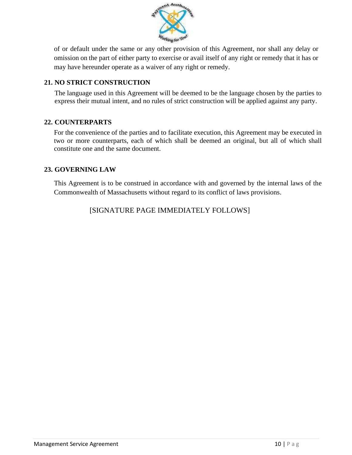

of or default under the same or any other provision of this Agreement, nor shall any delay or omission on the part of either party to exercise or avail itself of any right or remedy that it has or may have hereunder operate as a waiver of any right or remedy.

# **21. NO STRICT CONSTRUCTION**

The language used in this Agreement will be deemed to be the language chosen by the parties to express their mutual intent, and no rules of strict construction will be applied against any party.

# **22. COUNTERPARTS**

For the convenience of the parties and to facilitate execution, this Agreement may be executed in two or more counterparts, each of which shall be deemed an original, but all of which shall constitute one and the same document.

# **23. GOVERNING LAW**

This Agreement is to be construed in accordance with and governed by the internal laws of the Commonwealth of Massachusetts without regard to its conflict of laws provisions.

[SIGNATURE PAGE IMMEDIATELY FOLLOWS]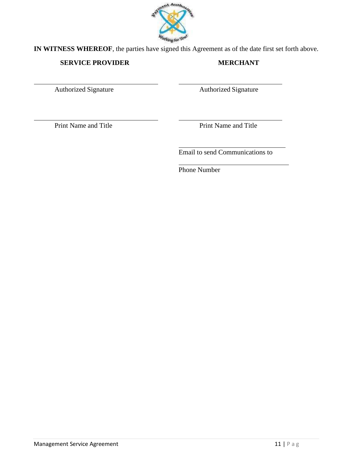

**IN WITNESS WHEREOF**, the parties have signed this Agreement as of the date first set forth above.

# **SERVICE PROVIDER MERCHANT**

Authorized Signature **Authorized Signature** Authorized Signature

Print Name and Title Print Name and Title

Email to send Communications to

Phone Number